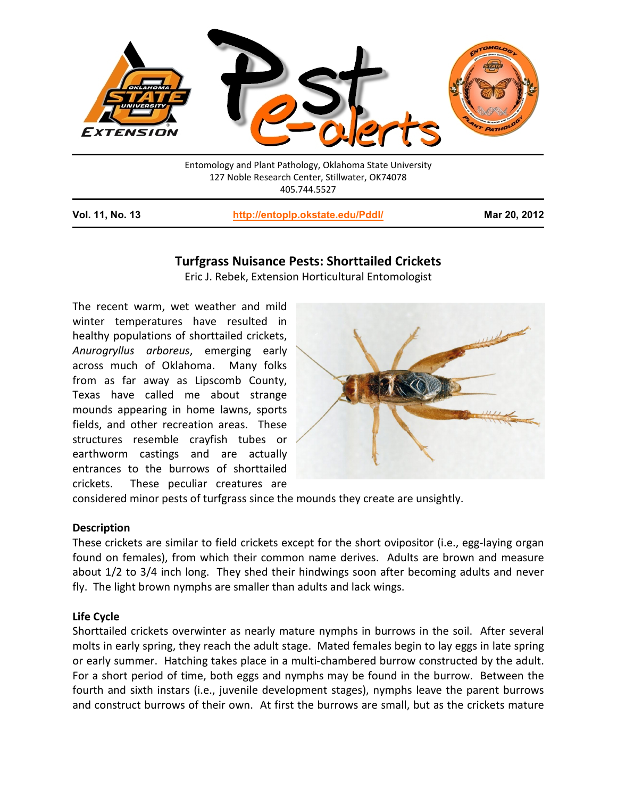

Entomology and Plant Pathology, Oklahoma State University 127 Noble Research Center, Stillwater, OK74078 405.744.5527

**Vol. 11, No. 13 <http://entoplp.okstate.edu/Pddl/> Mar 20, 2012**

# **Turfgrass Nuisance Pests: Shorttailed Crickets**

Eric J. Rebek, Extension Horticultural Entomologist

The recent warm, wet weather and mild winter temperatures have resulted in healthy populations of shorttailed crickets, *Anurogryllus arboreus*, emerging early across much of Oklahoma. Many folks from as far away as Lipscomb County, Texas have called me about strange mounds appearing in home lawns, sports fields, and other recreation areas. These structures resemble crayfish tubes or earthworm castings and are actually entrances to the burrows of shorttailed crickets. These peculiar creatures are



considered minor pests of turfgrass since the mounds they create are unsightly.

## **Description**

These crickets are similar to field crickets except for the short ovipositor (i.e., egg-laying organ found on females), from which their common name derives. Adults are brown and measure about 1/2 to 3/4 inch long. They shed their hindwings soon after becoming adults and never fly. The light brown nymphs are smaller than adults and lack wings.

## **Life Cycle**

Shorttailed crickets overwinter as nearly mature nymphs in burrows in the soil. After several molts in early spring, they reach the adult stage. Mated females begin to lay eggs in late spring or early summer. Hatching takes place in a multi-chambered burrow constructed by the adult. For a short period of time, both eggs and nymphs may be found in the burrow. Between the fourth and sixth instars (i.e., juvenile development stages), nymphs leave the parent burrows and construct burrows of their own. At first the burrows are small, but as the crickets mature